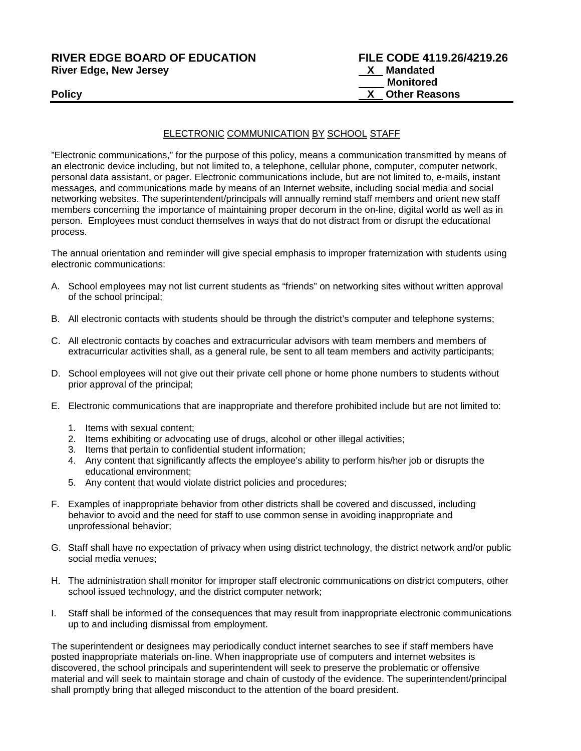#### **RIVER EDGE BOARD OF EDUCATION FILE CODE 4119.26/4219.26 River Edge, New Jersey**

# ELECTRONIC COMMUNICATION BY SCHOOL STAFF

"Electronic communications," for the purpose of this policy, means a communication transmitted by means of an electronic device including, but not limited to, a telephone, cellular phone, computer, computer network, personal data assistant, or pager. Electronic communications include, but are not limited to, e-mails, instant messages, and communications made by means of an Internet website, including social media and social networking websites. The superintendent/principals will annually remind staff members and orient new staff members concerning the importance of maintaining proper decorum in the on-line, digital world as well as in person. Employees must conduct themselves in ways that do not distract from or disrupt the educational process.

The annual orientation and reminder will give special emphasis to improper fraternization with students using electronic communications:

- A. School employees may not list current students as "friends" on networking sites without written approval of the school principal;
- B. All electronic contacts with students should be through the district's computer and telephone systems;
- C. All electronic contacts by coaches and extracurricular advisors with team members and members of extracurricular activities shall, as a general rule, be sent to all team members and activity participants;
- D. School employees will not give out their private cell phone or home phone numbers to students without prior approval of the principal;
- E. Electronic communications that are inappropriate and therefore prohibited include but are not limited to:
	- 1. Items with sexual content;
	- 2. Items exhibiting or advocating use of drugs, alcohol or other illegal activities;
	- 3. Items that pertain to confidential student information;
	- 4. Any content that significantly affects the employee's ability to perform his/her job or disrupts the educational environment;
	- 5. Any content that would violate district policies and procedures;
- F. Examples of inappropriate behavior from other districts shall be covered and discussed, including behavior to avoid and the need for staff to use common sense in avoiding inappropriate and unprofessional behavior;
- G. Staff shall have no expectation of privacy when using district technology, the district network and/or public social media venues;
- H. The administration shall monitor for improper staff electronic communications on district computers, other school issued technology, and the district computer network;
- I. Staff shall be informed of the consequences that may result from inappropriate electronic communications up to and including dismissal from employment.

The superintendent or designees may periodically conduct internet searches to see if staff members have posted inappropriate materials on-line. When inappropriate use of computers and internet websites is discovered, the school principals and superintendent will seek to preserve the problematic or offensive material and will seek to maintain storage and chain of custody of the evidence. The superintendent/principal shall promptly bring that alleged misconduct to the attention of the board president.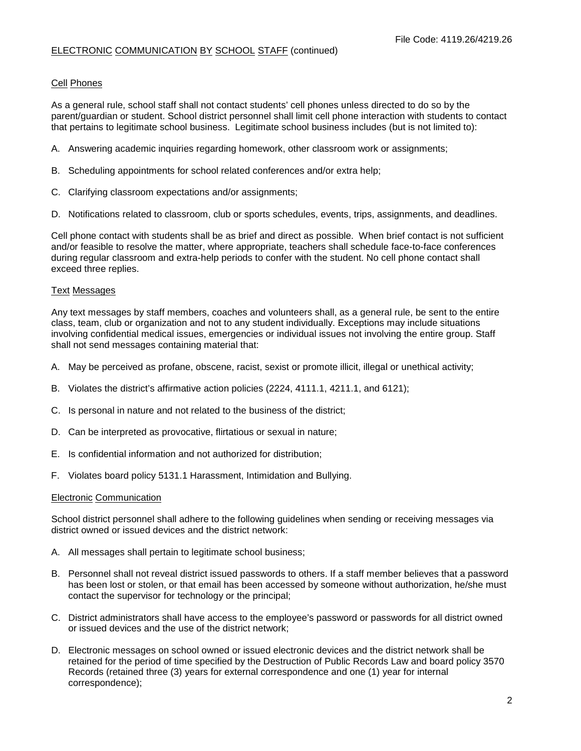# Cell Phones

As a general rule, school staff shall not contact students' cell phones unless directed to do so by the parent/guardian or student. School district personnel shall limit cell phone interaction with students to contact that pertains to legitimate school business. Legitimate school business includes (but is not limited to):

- A. Answering academic inquiries regarding homework, other classroom work or assignments;
- B. Scheduling appointments for school related conferences and/or extra help;
- C. Clarifying classroom expectations and/or assignments;
- D. Notifications related to classroom, club or sports schedules, events, trips, assignments, and deadlines.

Cell phone contact with students shall be as brief and direct as possible. When brief contact is not sufficient and/or feasible to resolve the matter, where appropriate, teachers shall schedule face-to-face conferences during regular classroom and extra-help periods to confer with the student. No cell phone contact shall exceed three replies.

#### Text Messages

Any text messages by staff members, coaches and volunteers shall, as a general rule, be sent to the entire class, team, club or organization and not to any student individually. Exceptions may include situations involving confidential medical issues, emergencies or individual issues not involving the entire group. Staff shall not send messages containing material that:

- A. May be perceived as profane, obscene, racist, sexist or promote illicit, illegal or unethical activity;
- B. Violates the district's affirmative action policies (2224, 4111.1, 4211.1, and 6121);
- C. Is personal in nature and not related to the business of the district;
- D. Can be interpreted as provocative, flirtatious or sexual in nature;
- E. Is confidential information and not authorized for distribution;
- F. Violates board policy 5131.1 Harassment, Intimidation and Bullying.

#### Electronic Communication

School district personnel shall adhere to the following guidelines when sending or receiving messages via district owned or issued devices and the district network:

- A. All messages shall pertain to legitimate school business;
- B. Personnel shall not reveal district issued passwords to others. If a staff member believes that a password has been lost or stolen, or that email has been accessed by someone without authorization, he/she must contact the supervisor for technology or the principal;
- C. District administrators shall have access to the employee's password or passwords for all district owned or issued devices and the use of the district network;
- D. Electronic messages on school owned or issued electronic devices and the district network shall be retained for the period of time specified by the Destruction of Public Records Law and board policy 3570 Records (retained three (3) years for external correspondence and one (1) year for internal correspondence);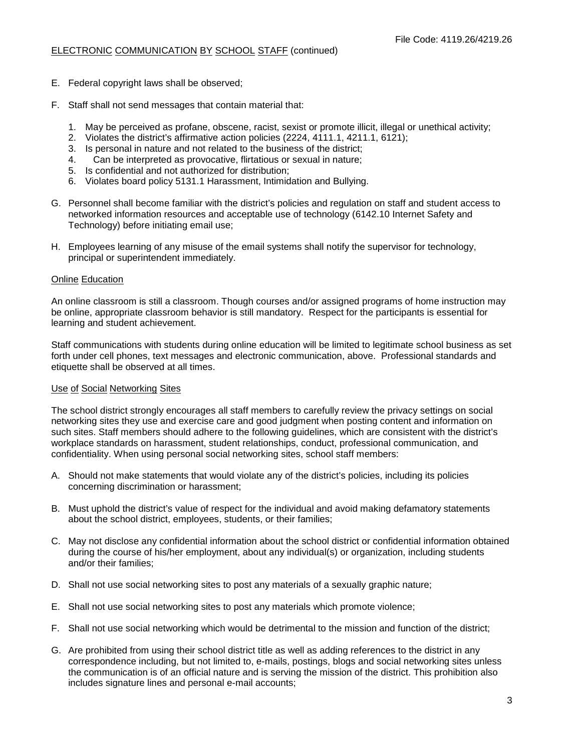- E. Federal copyright laws shall be observed;
- F. Staff shall not send messages that contain material that:
	- 1. May be perceived as profane, obscene, racist, sexist or promote illicit, illegal or unethical activity;
	- 2. Violates the district's affirmative action policies (2224, 4111.1, 4211.1, 6121);
	- 3. Is personal in nature and not related to the business of the district;
	- 4. Can be interpreted as provocative, flirtatious or sexual in nature;
	- 5. Is confidential and not authorized for distribution;
	- 6. Violates board policy 5131.1 Harassment, Intimidation and Bullying.
- G. Personnel shall become familiar with the district's policies and regulation on staff and student access to networked information resources and acceptable use of technology (6142.10 Internet Safety and Technology) before initiating email use;
- H. Employees learning of any misuse of the email systems shall notify the supervisor for technology, principal or superintendent immediately.

#### Online Education

An online classroom is still a classroom. Though courses and/or assigned programs of home instruction may be online, appropriate classroom behavior is still mandatory. Respect for the participants is essential for learning and student achievement.

Staff communications with students during online education will be limited to legitimate school business as set forth under cell phones, text messages and electronic communication, above. Professional standards and etiquette shall be observed at all times.

## Use of Social Networking Sites

The school district strongly encourages all staff members to carefully review the privacy settings on social networking sites they use and exercise care and good judgment when posting content and information on such sites. Staff members should adhere to the following guidelines, which are consistent with the district's workplace standards on harassment, student relationships, conduct, professional communication, and confidentiality. When using personal social networking sites, school staff members:

- A. Should not make statements that would violate any of the district's policies, including its policies concerning discrimination or harassment;
- B. Must uphold the district's value of respect for the individual and avoid making defamatory statements about the school district, employees, students, or their families;
- C. May not disclose any confidential information about the school district or confidential information obtained during the course of his/her employment, about any individual(s) or organization, including students and/or their families;
- D. Shall not use social networking sites to post any materials of a sexually graphic nature;
- E. Shall not use social networking sites to post any materials which promote violence;
- F. Shall not use social networking which would be detrimental to the mission and function of the district;
- G. Are prohibited from using their school district title as well as adding references to the district in any correspondence including, but not limited to, e-mails, postings, blogs and social networking sites unless the communication is of an official nature and is serving the mission of the district. This prohibition also includes signature lines and personal e-mail accounts;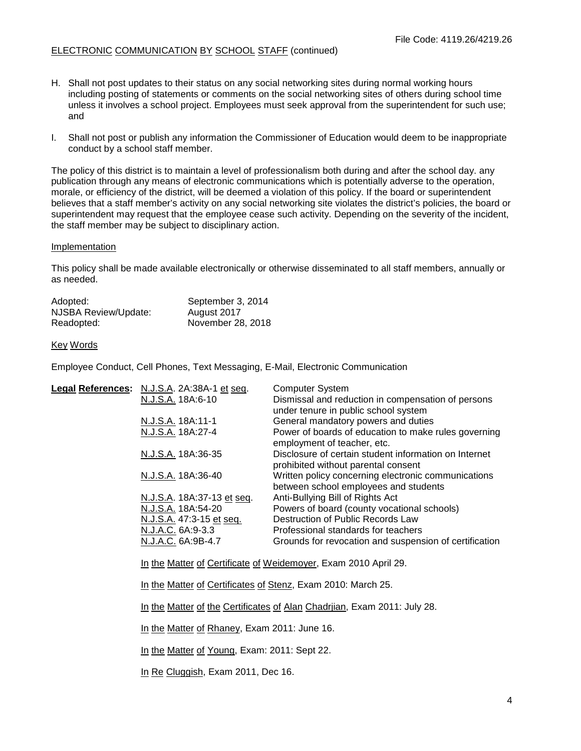- H. Shall not post updates to their status on any social networking sites during normal working hours including posting of statements or comments on the social networking sites of others during school time unless it involves a school project. Employees must seek approval from the superintendent for such use; and
- I. Shall not post or publish any information the Commissioner of Education would deem to be inappropriate conduct by a school staff member.

The policy of this district is to maintain a level of professionalism both during and after the school day. any publication through any means of electronic communications which is potentially adverse to the operation, morale, or efficiency of the district, will be deemed a violation of this policy. If the board or superintendent believes that a staff member's activity on any social networking site violates the district's policies, the board or superintendent may request that the employee cease such activity. Depending on the severity of the incident, the staff member may be subject to disciplinary action.

#### Implementation

This policy shall be made available electronically or otherwise disseminated to all staff members, annually or as needed.

| Adopted:             | September 3, 2014 |
|----------------------|-------------------|
| NJSBA Review/Update: | August 2017       |
| Readopted:           | November 28, 2018 |

#### Key Words

Employee Conduct, Cell Phones, Text Messaging, E-Mail, Electronic Communication

| Legal References: N.J.S.A. 2A:38A-1 et seq. | <b>Computer System</b>                                                                       |
|---------------------------------------------|----------------------------------------------------------------------------------------------|
| N.J.S.A. 18A:6-10                           | Dismissal and reduction in compensation of persons<br>under tenure in public school system   |
| N.J.S.A. 18A:11-1                           | General mandatory powers and duties                                                          |
| N.J.S.A. 18A:27-4                           | Power of boards of education to make rules governing<br>employment of teacher, etc.          |
| N.J.S.A. 18A:36-35                          | Disclosure of certain student information on Internet<br>prohibited without parental consent |
| N.J.S.A. 18A:36-40                          | Written policy concerning electronic communications<br>between school employees and students |
| N.J.S.A. 18A:37-13 et seq.                  | Anti-Bullying Bill of Rights Act                                                             |
| N.J.S.A. 18A:54-20                          | Powers of board (county vocational schools)                                                  |
| N.J.S.A. 47:3-15 et seq.                    | Destruction of Public Records Law                                                            |
| N.J.A.C. 6A:9-3.3                           | Professional standards for teachers                                                          |
| N.J.A.C. 6A:9B-4.7                          | Grounds for revocation and suspension of certification                                       |
|                                             |                                                                                              |

In the Matter of Certificate of Weidemoyer, Exam 2010 April 29.

In the Matter of Certificates of Stenz, Exam 2010: March 25.

In the Matter of the Certificates of Alan Chadrijan, Exam 2011: July 28.

In the Matter of Rhaney, Exam 2011: June 16.

In the Matter of Young, Exam: 2011: Sept 22.

In Re Cluggish, Exam 2011, Dec 16.